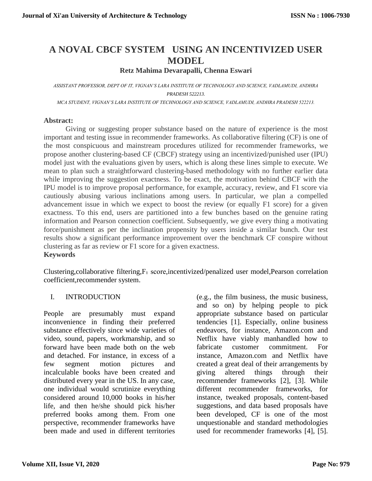# **A NOVAL CBCF SYSTEM USING AN INCENTIVIZED USER MODEL**

**Retz Mahima Devarapalli, Chenna Eswari**

*ASSISTANT PROFESSOR, DEPT OF IT, VIGNAN'S LARA INSTITUTE OF TECHNOLOGY AND SCIENCE, VADLAMUDI, ANDHRA PRADESH 522213.*

*MCA STUDENT, VIGNAN'S LARA INSTITUTE OF TECHNOLOGY AND SCIENCE, VADLAMUDI, ANDHRA PRADESH 522213.*

#### **Abstract:**

Giving or suggesting proper substance based on the nature of experience is the most important and testing issue in recommender frameworks. As collaborative filtering (CF) is one of the most conspicuous and mainstream procedures utilized for recommender frameworks, we propose another clustering-based CF (CBCF) strategy using an incentivized/punished user (IPU) model just with the evaluations given by users, which is along these lines simple to execute. We mean to plan such a straightforward clustering-based methodology with no further earlier data while improving the suggestion exactness. To be exact, the motivation behind CBCF with the IPU model is to improve proposal performance, for example, accuracy, review, and F1 score via cautiously abusing various inclinations among users. In particular, we plan a compelled advancement issue in which we expect to boost the review (or equally F1 score) for a given exactness. To this end, users are partitioned into a few bunches based on the genuine rating information and Pearson connection coefficient. Subsequently, we give every thing a motivating force/punishment as per the inclination propensity by users inside a similar bunch. Our test results show a significant performance improvement over the benchmark CF conspire without clustering as far as review or F1 score for a given exactness.

#### **Keywords**

[Clustering,](https://ieeexplore.ieee.org/search/searchresult.jsp?matchBoolean=true&queryText=%22Index%20Terms%22:Clustering&newsearch=true)[collaborative filtering,](https://ieeexplore.ieee.org/search/searchresult.jsp?matchBoolean=true&queryText=%22Index%20Terms%22:collaborative%20filtering&newsearch=true)[F₁ score,](https://ieeexplore.ieee.org/search/searchresult.jsp?matchBoolean=true&queryText=%22Index%20Terms%22:F%E2%82%81%20score&newsearch=true)[incentivized/penalized user model,](https://ieeexplore.ieee.org/search/searchresult.jsp?matchBoolean=true&queryText=%22Index%20Terms%22:incentivized/penalized%20user%20model&newsearch=true)[Pearson correlation](https://ieeexplore.ieee.org/search/searchresult.jsp?matchBoolean=true&queryText=%22Index%20Terms%22:Pearson%20correlation%20coefficient&newsearch=true)  [coefficient,](https://ieeexplore.ieee.org/search/searchresult.jsp?matchBoolean=true&queryText=%22Index%20Terms%22:Pearson%20correlation%20coefficient&newsearch=true)[recommender system.](https://ieeexplore.ieee.org/search/searchresult.jsp?matchBoolean=true&queryText=%22Index%20Terms%22:recommender%20system&newsearch=true)

## I. INTRODUCTION

People are presumably must expand inconvenience in finding their preferred substance effectively since wide varieties of video, sound, papers, workmanship, and so forward have been made both on the web and detached. For instance, in excess of a few segment motion pictures and incalculable books have been created and distributed every year in the US. In any case, one individual would scrutinize everything considered around 10,000 books in his/her life, and then he/she should pick his/her preferred books among them. From one perspective, recommender frameworks have been made and used in different territories

(e.g., the film business, the music business, and so on) by helping people to pick appropriate substance based on particular tendencies [1]. Especially, online business endeavors, for instance, Amazon.com and Netflix have viably manhandled how to fabricate customer commitment. For instance, Amazon.com and Netflix have created a great deal of their arrangements by giving altered things through their recommender frameworks [2], [3]. While different recommender frameworks, for instance, tweaked proposals, content-based suggestions, and data based proposals have been developed, CF is one of the most unquestionable and standard methodologies used for recommender frameworks [4], [5].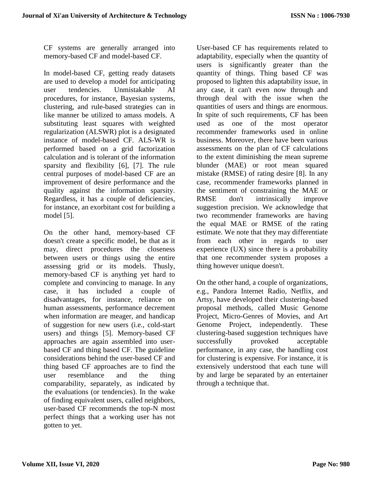CF systems are generally arranged into memory-based CF and model-based CF.

In model-based CF, getting ready datasets are used to develop a model for anticipating user tendencies. Unmistakable AI procedures, for instance, Bayesian systems, clustering, and rule-based strategies can in like manner be utilized to amass models. A substituting least squares with weighted regularization (ALSWR) plot is a designated instance of model-based CF. ALS-WR is performed based on a grid factorization calculation and is tolerant of the information sparsity and flexibility [6], [7]. The rule central purposes of model-based CF are an improvement of desire performance and the quality against the information sparsity. Regardless, it has a couple of deficiencies, for instance, an exorbitant cost for building a model [5].

On the other hand, memory-based CF doesn't create a specific model, be that as it may, direct procedures the closeness between users or things using the entire assessing grid or its models. Thusly, memory-based CF is anything yet hard to complete and convincing to manage. In any case, it has included a couple of disadvantages, for instance, reliance on human assessments, performance decrement when information are meager, and handicap of suggestion for new users (i.e., cold-start users) and things [5]. Memory-based CF approaches are again assembled into userbased CF and thing based CF. The guideline considerations behind the user-based CF and thing based CF approaches are to find the user resemblance and the thing comparability, separately, as indicated by the evaluations (or tendencies). In the wake of finding equivalent users, called neighbors, user-based CF recommends the top-N most perfect things that a working user has not gotten to yet.

User-based CF has requirements related to adaptability, especially when the quantity of users is significantly greater than the quantity of things. Thing based CF was proposed to lighten this adaptability issue, in any case, it can't even now through and through deal with the issue when the quantities of users and things are enormous. In spite of such requirements, CF has been used as one of the most operator recommender frameworks used in online business. Moreover, there have been various assessments on the plan of CF calculations to the extent diminishing the mean supreme blunder (MAE) or root mean squared mistake (RMSE) of rating desire [8]. In any case, recommender frameworks planned in the sentiment of constraining the MAE or RMSE don't intrinsically improve suggestion precision. We acknowledge that two recommender frameworks are having the equal MAE or RMSE of the rating estimate. We note that they may differentiate from each other in regards to user experience (UX) since there is a probability that one recommender system proposes a thing however unique doesn't.

On the other hand, a couple of organizations, e.g., Pandora Internet Radio, Netflix, and Artsy, have developed their clustering-based proposal methods, called Music Genome Project, Micro-Genres of Movies, and Art Genome Project, independently. These clustering-based suggestion techniques have successfully provoked acceptable performance, in any case, the handling cost for clustering is expensive. For instance, it is extensively understood that each tune will by and large be separated by an entertainer through a technique that.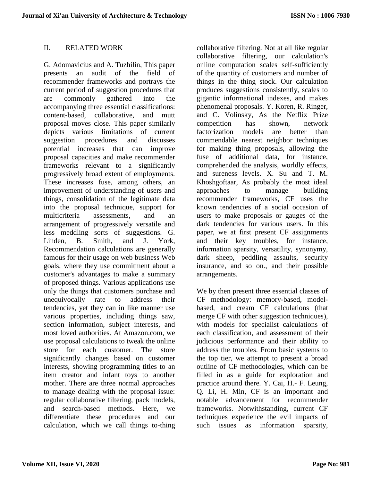#### II. RELATED WORK

G. Adomavicius and A. Tuzhilin, This paper presents an audit of the field of recommender frameworks and portrays the current period of suggestion procedures that are commonly gathered into the accompanying three essential classifications: content-based, collaborative, and mutt proposal moves close. This paper similarly depicts various limitations of current suggestion procedures and discusses potential increases that can improve proposal capacities and make recommender frameworks relevant to a significantly progressively broad extent of employments. These increases fuse, among others, an improvement of understanding of users and things, consolidation of the legitimate data into the proposal technique, support for multicriteria assessments, and an arrangement of progressively versatile and less meddling sorts of suggestions. G. Linden, B. Smith, and J. York, Recommendation calculations are generally famous for their usage on web business Web goals, where they use commitment about a customer's advantages to make a summary of proposed things. Various applications use only the things that customers purchase and unequivocally rate to address their tendencies, yet they can in like manner use various properties, including things saw, section information, subject interests, and most loved authorities. At Amazon.com, we use proposal calculations to tweak the online store for each customer. The store significantly changes based on customer interests, showing programming titles to an item creator and infant toys to another mother. There are three normal approaches to manage dealing with the proposal issue: regular collaborative filtering, pack models, and search-based methods. Here, we differentiate these procedures and our calculation, which we call things to-thing

collaborative filtering. Not at all like regular collaborative filtering, our calculation's online computation scales self-sufficiently of the quantity of customers and number of things in the thing stock. Our calculation produces suggestions consistently, scales to gigantic informational indexes, and makes phenomenal proposals. Y. Koren, R. Ringer, and C. Volinsky, As the Netflix Prize competition has shown, network factorization models are better than commendable nearest neighbor techniques for making thing proposals, allowing the fuse of additional data, for instance, comprehended the analysis, worldly effects, and sureness levels. X. Su and T. M. Khoshgoftaar, As probably the most ideal approaches to manage building recommender frameworks, CF uses the known tendencies of a social occasion of users to make proposals or gauges of the dark tendencies for various users. In this paper, we at first present CF assignments and their key troubles, for instance, information sparsity, versatility, synonymy, dark sheep, peddling assaults, security insurance, and so on., and their possible arrangements.

We by then present three essential classes of CF methodology: memory-based, modelbased, and cream CF calculations (that merge CF with other suggestion techniques), with models for specialist calculations of each classification, and assessment of their judicious performance and their ability to address the troubles. From basic systems to the top tier, we attempt to present a broad outline of CF methodologies, which can be filled in as a guide for exploration and practice around there. Y. Cai, H.- F. Leung, Q. Li, H. Min, CF is an important and notable advancement for recommender frameworks. Notwithstanding, current CF techniques experience the evil impacts of such issues as information sparsity,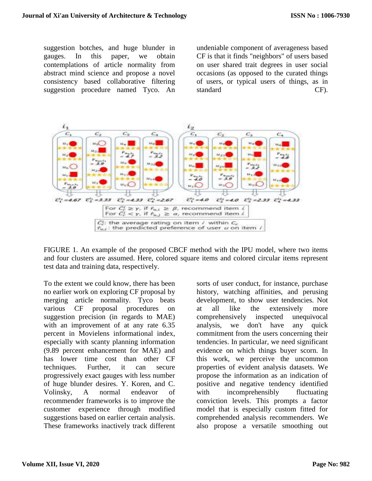suggestion botches, and huge blunder in gauges. In this paper, we obtain contemplations of article normality from abstract mind science and propose a novel consistency based collaborative filtering suggestion procedure named Tyco. An

undeniable component of averageness based CF is that it finds "neighbors" of users based on user shared trait degrees in user social occasions (as opposed to the curated things of users, or typical users of things, as in standard CF).



FIGURE 1. An example of the proposed CBCF method with the IPU model, where two items and four clusters are assumed. Here, colored square items and colored circular items represent test data and training data, respectively.

To the extent we could know, there has been no earlier work on exploring CF proposal by merging article normality. Tyco beats various CF proposal procedures on suggestion precision (in regards to MAE) with an improvement of at any rate 6.35 percent in Movielens informational index, especially with scanty planning information (9.89 percent enhancement for MAE) and has lower time cost than other CF techniques. Further, it can secure progressively exact gauges with less number of huge blunder desires. Y. Koren, and C. Volinsky, A normal endeavor of recommender frameworks is to improve the customer experience through modified suggestions based on earlier certain analysis. These frameworks inactively track different

sorts of user conduct, for instance, purchase history, watching affinities, and perusing development, to show user tendencies. Not at all like the extensively more comprehensively inspected unequivocal analysis, we don't have any quick commitment from the users concerning their tendencies. In particular, we need significant evidence on which things buyer scorn. In this work, we perceive the uncommon properties of evident analysis datasets. We propose the information as an indication of positive and negative tendency identified with incomprehensibly fluctuating conviction levels. This prompts a factor model that is especially custom fitted for comprehended analysis recommenders. We also propose a versatile smoothing out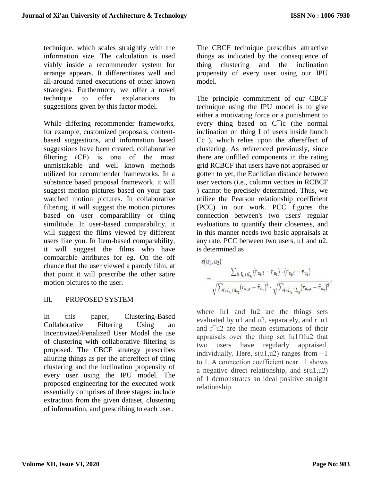technique, which scales straightly with the information size. The calculation is used viably inside a recommender system for arrange appears. It differentiates well and all-around tuned executions of other known strategies. Furthermore, we offer a novel technique to offer explanations to suggestions given by this factor model.

While differing recommender frameworks, for example, customized proposals, contentbased suggestions, and information based suggestions have been created, collaborative filtering (CF) is one of the most unmistakable and well known methods utilized for recommender frameworks. In a substance based proposal framework, it will suggest motion pictures based on your past watched motion pictures. In collaborative filtering, it will suggest the motion pictures based on user comparability or thing similitude. In user-based comparability, it will suggest the films viewed by different users like you. In Item-based comparability, it will suggest the films who have comparable attributes for eg. On the off chance that the user viewed a parody film, at that point it will prescribe the other satire motion pictures to the user.

# III. PROPOSED SYSTEM

In this paper, Clustering-Based Collaborative Filtering Using an Incentivized/Penalized User Model the use of clustering with collaborative filtering is proposed. The CBCF strategy prescribes alluring things as per the aftereffect of thing clustering and the inclination propensity of every user using the IPU model. The proposed engineering for the executed work essentially comprises of three stages: include extraction from the given dataset, clustering of information, and prescribing to each user.

The CBCF technique prescribes attractive things as indicated by the consequence of thing clustering and the inclination propensity of every user using our IPU model.

The principle commitment of our CBCF technique using the IPU model is to give either a motivating force or a punishment to every thing based on C¯ic (the normal inclination on thing I of users inside bunch Cc ), which relies upon the aftereffect of clustering. As referenced previously, since there are unfilled components in the rating grid RCBCF that users have not appraised or gotten to yet, the Euclidian distance between user vectors (i.e., column vectors in RCBCF ) cannot be precisely determined. Thus, we utilize the Pearson relationship coefficient (PCC) in our work. PCC figures the connection between's two users' regular evaluations to quantify their closeness, and in this manner needs two basic appraisals at any rate. PCC between two users, u1 and u2, is determined as

$$
\begin{aligned} s(u_1,u_2) &= \frac{\sum_{i \in I_{u_1} \cap I_{u_2}} (r_{u_1,i} - \bar{r}_{u_1}) \cdot (r_{u_2,i} - \bar{r}_{u_2})}{\sqrt{\sum_{i \in I_{u_1} \cap I_{u_2}} (r_{u_1,i} - \bar{r}_{u_1})^2} \cdot \sqrt{\sum_{i \in I_{u_1} \cap I_{u_2}} (r_{u_2,i} - \bar{r}_{u_2})^2}}, \end{aligned}
$$

where Iu1 and Iu2 are the things sets evaluated by  $u1$  and  $u2$ , separately, and  $r$ <sup>-</sup>u1 and  $r<sup>-</sup>u<sup>2</sup>$  are the mean estimations of their appraisals over the thing set Iu1∩Iu2 that two users have regularly appraised, individually. Here,  $s(u1,u2)$  ranges from  $-1$ to 1. A connection coefficient near −1 shows a negative direct relationship, and s(u1,u2) of 1 demonstrates an ideal positive straight relationship.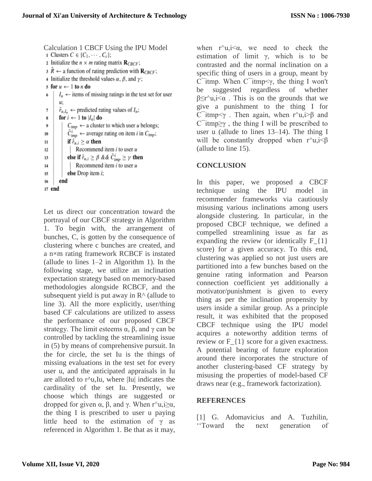Calculation 1 CBCF Using the IPU Model<br>1 Clusters  $C \in \{C_1, \dots, C_c\}$ ; 2 Initialize the  $n \times m$  rating matrix  $\mathbf{R}_{CBCF}$ ;  $3 \hat{R} \leftarrow$  a function of rating prediction with  $\mathbf{R}_{CBCF}$ ; 4 Initialize the threshold values  $\alpha$ ,  $\beta$ , and  $\gamma$ ; s for  $u \leftarrow 1$  to *n* do  $I_u \leftarrow$  items of missing ratings in the test set for user u:  $\hat{r}_{u,I_u} \leftarrow$  predicted rating values of  $I_u$ ; 7 for  $i \leftarrow 1$  to  $|I_u|$  do 8  $C_{\text{imp}} \leftarrow$  a cluster to which user u belongs;  $\bf{Q}$ 10  $C_{tmn}^t$   $\leftarrow$  average rating on item *i* in  $C_{tmp}$ ; if  $\hat{r}_{u,i} \geq \alpha$  then 11  $12$ Recommend item  $i$  to user  $u$ else if  $\hat{r}_{u,i} \ge \beta$  &&  $\bar{C}_{tmp}^i \ge \gamma$  then 13 Recommend item  $i$  to user  $u$ 14 else Drop item i: 15 16 end 17 end

Let us direct our concentration toward the portrayal of our CBCF strategy in Algorithm 1. To begin with, the arrangement of bunches, C, is gotten by the consequence of clustering where c bunches are created, and a n×m rating framework RCBCF is instated (allude to lines 1–2 in Algorithm 1). In the following stage, we utilize an inclination expectation strategy based on memory-based methodologies alongside RCBCF, and the subsequent yield is put away in  $\mathbb{R}^{\wedge}$  (allude to line 3). All the more explicitly, user/thing based CF calculations are utilized to assess the performance of our proposed CBCF strategy. The limit esteems  $\alpha$ ,  $\beta$ , and  $\gamma$  can be controlled by tackling the streamlining issue in (5) by means of comprehensive pursuit. In the for circle, the set Iu is the things of missing evaluations in the test set for every user u, and the anticipated appraisals in Iu are alloted to  $r^{\lambda}$ u,Iu, where |Iu| indicates the cardinality of the set Iu. Presently, we choose which things are suggested or dropped for given  $\alpha$ ,  $\beta$ , and γ. When r^u,j>α, the thing I is prescribed to user u paying little heed to the estimation of  $\gamma$  as referenced in Algorithm 1. Be that as it may,

when  $r^{\wedge}u, i \leq \alpha$ , we need to check the estimation of limit γ, which is to be contrasted and the normal inclination on a specific thing of users in a group, meant by C¯itmp. When C¯itmp<γ, the thing I won't be suggested regardless of whether  $\beta \le r^{\wedge}u, i \le \alpha$ . This is on the grounds that we give a punishment to the thing I for C itmp $\leq \gamma$ . Then again, when r^u,i>β and  $C$  itmp $\geq \gamma$ , the thing I will be prescribed to user u (allude to lines 13–14). The thing I will be constantly dropped when  $r^{\lambda}u, i\leq \beta$ (allude to line 15).

## **CONCLUSION**

In this paper, we proposed a CBCF technique using the IPU model in recommender frameworks via cautiously misusing various inclinations among users alongside clustering. In particular, in the proposed CBCF technique, we defined a compelled streamlining issue as far as expanding the review (or identically  $F_{1}$ score) for a given accuracy. To this end, clustering was applied so not just users are partitioned into a few bunches based on the genuine rating information and Pearson connection coefficient yet additionally a motivator/punishment is given to every thing as per the inclination propensity by users inside a similar group. As a principle result, it was exhibited that the proposed CBCF technique using the IPU model acquires a noteworthy addition terms of review or F  $\{1\}$  score for a given exactness. A potential bearing of future exploration around there incorporates the structure of another clustering-based CF strategy by misusing the properties of model-based CF draws near (e.g., framework factorization).

## **REFERENCES**

[1] G. Adomavicius and A. Tuzhilin, ''Toward the next generation of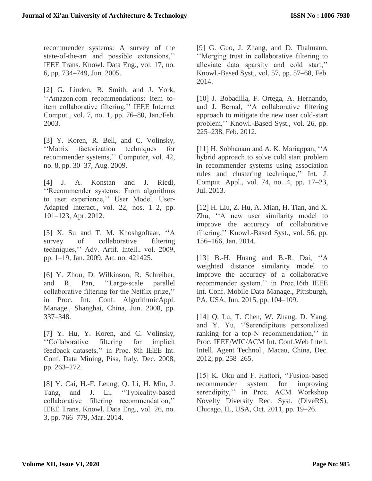recommender systems: A survey of the state-of-the-art and possible extensions,'' IEEE Trans. Knowl. Data Eng., vol. 17, no. 6, pp. 734–749, Jun. 2005.

[2] G. Linden, B. Smith, and J. York, ''Amazon.com recommendations: Item toitem collaborative filtering,'' IEEE Internet Comput., vol. 7, no. 1, pp. 76–80, Jan./Feb. 2003.

[3] Y. Koren, R. Bell, and C. Volinsky, ''Matrix factorization techniques for recommender systems,'' Computer, vol. 42, no. 8, pp. 30–37, Aug. 2009.

[4] J. A. Konstan and J. Riedl, ''Recommender systems: From algorithms to user experience,'' User Model. User-Adapted Interact., vol. 22, nos. 1–2, pp. 101–123, Apr. 2012.

[5] X. Su and T. M. Khoshgoftaar, ''A survey of collaborative filtering techniques,'' Adv. Artif. Intell., vol. 2009, pp. 1–19, Jan. 2009, Art. no. 421425.

[6] Y. Zhou, D. Wilkinson, R. Schreiber, and R. Pan, ''Large-scale parallel collaborative filtering for the Netflix prize,'' in Proc. Int. Conf. AlgorithmicAppl. Manage., Shanghai, China, Jun. 2008, pp. 337–348.

[7] Y. Hu, Y. Koren, and C. Volinsky, ''Collaborative filtering for implicit feedback datasets,'' in Proc. 8th IEEE Int. Conf. Data Mining, Pisa, Italy, Dec. 2008, pp. 263–272.

[8] Y. Cai, H.-F. Leung, Q. Li, H. Min, J. Tang, and J. Li, ''Typicality-based collaborative filtering recommendation,'' IEEE Trans. Knowl. Data Eng., vol. 26, no. 3, pp. 766–779, Mar. 2014.

[9] G. Guo, J. Zhang, and D. Thalmann, ''Merging trust in collaborative filtering to alleviate data sparsity and cold start,'' Knowl.-Based Syst., vol. 57, pp. 57–68, Feb. 2014.

[10] J. Bobadilla, F. Ortega, A. Hernando, and J. Bernal, ''A collaborative filtering approach to mitigate the new user cold-start problem,'' Knowl.-Based Syst., vol. 26, pp. 225–238, Feb. 2012.

[11] H. Sobhanam and A. K. Mariappan, ''A hybrid approach to solve cold start problem in recommender systems using association rules and clustering technique,'' Int. J. Comput. Appl., vol. 74, no. 4, pp. 17–23, Jul. 2013.

[12] H. Liu, Z. Hu, A. Mian, H. Tian, and X. Zhu, ''A new user similarity model to improve the accuracy of collaborative filtering,'' Knowl.-Based Syst., vol. 56, pp. 156–166, Jan. 2014.

[13] B.-H. Huang and B.-R. Dai, "A weighted distance similarity model to improve the accuracy of a collaborative recommender system,'' in Proc.16th IEEE Int. Conf. Mobile Data Manage., Pittsburgh, PA, USA, Jun. 2015, pp. 104–109.

[14] Q. Lu, T. Chen, W. Zhang, D. Yang, and Y. Yu, ''Serendipitous personalized ranking for a top-N recommendation,'' in Proc. IEEE/WIC/ACM Int. Conf.Web Intell. Intell. Agent Technol., Macau, China, Dec. 2012, pp. 258–265.

[15] K. Oku and F. Hattori, "Fusion-based recommender system for improving serendipity," in Proc. ACM Workshop Novelty Diversity Rec. Syst. (DiveRS), Chicago, IL, USA, Oct. 2011, pp. 19–26.